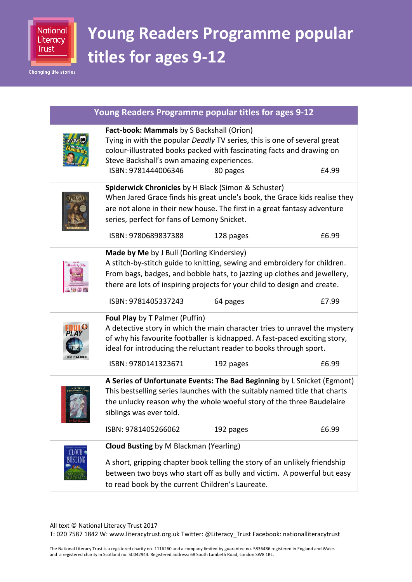

**Changing life stories** 

## **Young Readers Programme popular titles for ages 9-12**

| Young Readers Programme popular titles for ages 9-12 |                                                                                                                           |                                                                                                                                                                                                                                                |       |
|------------------------------------------------------|---------------------------------------------------------------------------------------------------------------------------|------------------------------------------------------------------------------------------------------------------------------------------------------------------------------------------------------------------------------------------------|-------|
|                                                      | Fact-book: Mammals by S Backshall (Orion)<br>Steve Backshall's own amazing experiences.<br>ISBN: 9781444006346            | Tying in with the popular Deadly TV series, this is one of several great<br>colour-illustrated books packed with fascinating facts and drawing on<br>80 pages                                                                                  | £4.99 |
|                                                      | Spiderwick Chronicles by H Black (Simon & Schuster)<br>series, perfect for fans of Lemony Snicket.<br>ISBN: 9780689837388 | When Jared Grace finds his great uncle's book, the Grace kids realise they<br>are not alone in their new house. The first in a great fantasy adventure<br>128 pages                                                                            | £6.99 |
| Made by M                                            | Made by Me by J Bull (Dorling Kindersley)<br>ISBN: 9781405337243                                                          | A stitch-by-stitch guide to knitting, sewing and embroidery for children.<br>From bags, badges, and bobble hats, to jazzing up clothes and jewellery,<br>there are lots of inspiring projects for your child to design and create.<br>64 pages | £7.99 |
| <b>TOM PALMER</b>                                    | Foul Play by T Palmer (Puffin)<br>ISBN: 9780141323671                                                                     | A detective story in which the main character tries to unravel the mystery<br>of why his favourite footballer is kidnapped. A fast-paced exciting story,<br>ideal for introducing the reluctant reader to books through sport.<br>192 pages    | £6.99 |
|                                                      | siblings was ever told.<br>ISBN: 9781405266062                                                                            | A Series of Unfortunate Events: The Bad Beginning by L Snicket (Egmont)<br>This bestselling series launches with the suitably named title that charts<br>the unlucky reason why the whole woeful story of the three Baudelaire<br>192 pages    | £6.99 |
| CLOUD                                                | <b>Cloud Busting by M Blackman (Yearling)</b><br>to read book by the current Children's Laureate.                         | A short, gripping chapter book telling the story of an unlikely friendship<br>between two boys who start off as bully and victim. A powerful but easy                                                                                          |       |

## All text © National Literacy Trust 2017

T: 020 7587 1842 W: www.literacytrust.org.uk Twitter: @Literacy\_Trust Facebook: nationalliteracytrust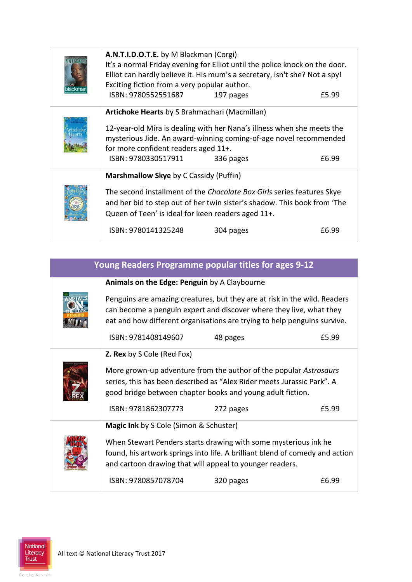| A.N.T.I.D.O.T.E. by M Blackman (Corgi)                                                                                                                                                                                                                                                          | It's a normal Friday evening for Elliot until the police knock on the door.<br>Elliot can hardly believe it. His mum's a secretary, isn't she? Not a spy! |       |
|-------------------------------------------------------------------------------------------------------------------------------------------------------------------------------------------------------------------------------------------------------------------------------------------------|-----------------------------------------------------------------------------------------------------------------------------------------------------------|-------|
| Exciting fiction from a very popular author.<br>ISBN: 9780552551687                                                                                                                                                                                                                             | 197 pages                                                                                                                                                 | £5.99 |
| Artichoke Hearts by S Brahmachari (Macmillan)<br>for more confident readers aged 11+.<br>ISBN: 9780330517911                                                                                                                                                                                    | 12-year-old Mira is dealing with her Nana's illness when she meets the<br>mysterious Jide. An award-winning coming-of-age novel recommended<br>336 pages  | £6.99 |
| Marshmallow Skye by C Cassidy (Puffin)<br>The second installment of the Chocolate Box Girls series features Skye<br>and her bid to step out of her twin sister's shadow. This book from 'The<br>Queen of Teen' is ideal for keen readers aged 11+.<br>ISBN: 9780141325248<br>£6.99<br>304 pages |                                                                                                                                                           |       |

| Young Readers Programme popular titles for ages 9-12 |                                                                                                                                                                                                           |                                                                                                                                                                                                                              |       |
|------------------------------------------------------|-----------------------------------------------------------------------------------------------------------------------------------------------------------------------------------------------------------|------------------------------------------------------------------------------------------------------------------------------------------------------------------------------------------------------------------------------|-------|
|                                                      | Animals on the Edge: Penguin by A Claybourne                                                                                                                                                              |                                                                                                                                                                                                                              |       |
|                                                      |                                                                                                                                                                                                           | Penguins are amazing creatures, but they are at risk in the wild. Readers<br>can become a penguin expert and discover where they live, what they<br>eat and how different organisations are trying to help penguins survive. |       |
|                                                      | ISBN: 9781408149607                                                                                                                                                                                       | 48 pages                                                                                                                                                                                                                     | £5.99 |
|                                                      | <b>Z. Rex</b> by S Cole (Red Fox)                                                                                                                                                                         |                                                                                                                                                                                                                              |       |
|                                                      | More grown-up adventure from the author of the popular Astrosaurs<br>series, this has been described as "Alex Rider meets Jurassic Park". A<br>good bridge between chapter books and young adult fiction. |                                                                                                                                                                                                                              |       |
|                                                      | ISBN: 9781862307773                                                                                                                                                                                       | 272 pages                                                                                                                                                                                                                    | £5.99 |
|                                                      | <b>Magic Ink</b> by S Cole (Simon & Schuster)                                                                                                                                                             |                                                                                                                                                                                                                              |       |
|                                                      | and cartoon drawing that will appeal to younger readers.                                                                                                                                                  | When Stewart Penders starts drawing with some mysterious ink he<br>found, his artwork springs into life. A brilliant blend of comedy and action                                                                              |       |
|                                                      | ISBN: 9780857078704                                                                                                                                                                                       | 320 pages                                                                                                                                                                                                                    | £6.99 |

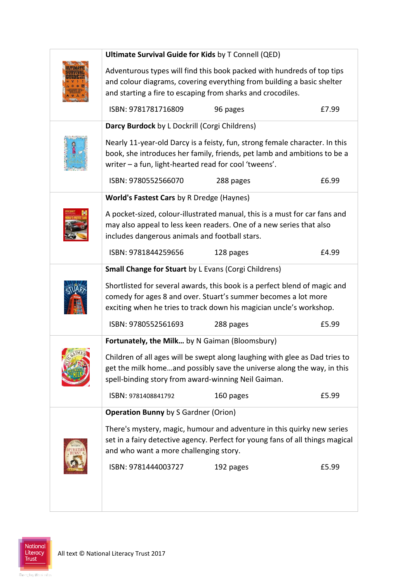| Ultimate Survival Guide for Kids by T Connell (QED)                                                                                         |                                                                             |       |
|---------------------------------------------------------------------------------------------------------------------------------------------|-----------------------------------------------------------------------------|-------|
| Adventurous types will find this book packed with hundreds of top tips                                                                      |                                                                             |       |
| and starting a fire to escaping from sharks and crocodiles.                                                                                 | and colour diagrams, covering everything from building a basic shelter      |       |
|                                                                                                                                             |                                                                             |       |
| ISBN: 9781781716809                                                                                                                         | 96 pages                                                                    | £7.99 |
| Darcy Burdock by L Dockrill (Corgi Childrens)                                                                                               |                                                                             |       |
|                                                                                                                                             | Nearly 11-year-old Darcy is a feisty, fun, strong female character. In this |       |
| writer - a fun, light-hearted read for cool 'tweens'.                                                                                       | book, she introduces her family, friends, pet lamb and ambitions to be a    |       |
|                                                                                                                                             |                                                                             |       |
| ISBN: 9780552566070                                                                                                                         | 288 pages                                                                   | £6.99 |
| World's Fastest Cars by R Dredge (Haynes)                                                                                                   |                                                                             |       |
|                                                                                                                                             | A pocket-sized, colour-illustrated manual, this is a must for car fans and  |       |
| includes dangerous animals and football stars.                                                                                              | may also appeal to less keen readers. One of a new series that also         |       |
| ISBN: 9781844259656                                                                                                                         | 128 pages                                                                   | £4.99 |
|                                                                                                                                             |                                                                             |       |
| <b>Small Change for Stuart by L Evans (Corgi Childrens)</b>                                                                                 |                                                                             |       |
| Shortlisted for several awards, this book is a perfect blend of magic and<br>comedy for ages 8 and over. Stuart's summer becomes a lot more |                                                                             |       |
|                                                                                                                                             | exciting when he tries to track down his magician uncle's workshop.         |       |
| ISBN: 9780552561693                                                                                                                         | 288 pages                                                                   | £5.99 |
| Fortunately, the Milk by N Gaiman (Bloomsbury)                                                                                              |                                                                             |       |
|                                                                                                                                             | Children of all ages will be swept along laughing with glee as Dad tries to |       |
|                                                                                                                                             | get the milk homeand possibly save the universe along the way, in this      |       |
| spell-binding story from award-winning Neil Gaiman.                                                                                         |                                                                             |       |
| ISBN: 9781408841792                                                                                                                         | 160 pages                                                                   | £5.99 |
| <b>Operation Bunny by S Gardner (Orion)</b>                                                                                                 |                                                                             |       |
| There's mystery, magic, humour and adventure in this quirky new series                                                                      |                                                                             |       |
| set in a fairy detective agency. Perfect for young fans of all things magical                                                               |                                                                             |       |
|                                                                                                                                             |                                                                             |       |
| and who want a more challenging story.                                                                                                      |                                                                             |       |
| ISBN: 9781444003727                                                                                                                         | 192 pages                                                                   | £5.99 |
|                                                                                                                                             |                                                                             |       |

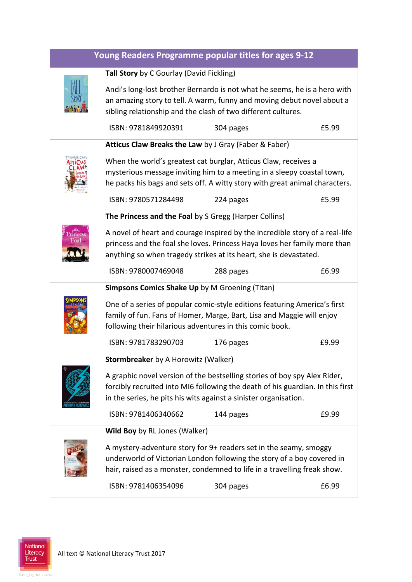| Young Readers Programme popular titles for ages 9-12 |                                                                                                                                                                                                                                |                                                                                                                                                                                                                          |       |
|------------------------------------------------------|--------------------------------------------------------------------------------------------------------------------------------------------------------------------------------------------------------------------------------|--------------------------------------------------------------------------------------------------------------------------------------------------------------------------------------------------------------------------|-------|
|                                                      | Tall Story by C Gourlay (David Fickling)                                                                                                                                                                                       |                                                                                                                                                                                                                          |       |
|                                                      | sibling relationship and the clash of two different cultures.                                                                                                                                                                  | Andi's long-lost brother Bernardo is not what he seems, he is a hero with<br>an amazing story to tell. A warm, funny and moving debut novel about a                                                                      |       |
|                                                      | ISBN: 9781849920391                                                                                                                                                                                                            | 304 pages                                                                                                                                                                                                                | £5.99 |
|                                                      | Atticus Claw Breaks the Law by J Gray (Faber & Faber)                                                                                                                                                                          |                                                                                                                                                                                                                          |       |
|                                                      |                                                                                                                                                                                                                                | When the world's greatest cat burglar, Atticus Claw, receives a<br>mysterious message inviting him to a meeting in a sleepy coastal town,<br>he packs his bags and sets off. A witty story with great animal characters. |       |
|                                                      | ISBN: 9780571284498                                                                                                                                                                                                            | 224 pages                                                                                                                                                                                                                | £5.99 |
|                                                      | The Princess and the Foal by S Gregg (Harper Collins)                                                                                                                                                                          |                                                                                                                                                                                                                          |       |
|                                                      | A novel of heart and courage inspired by the incredible story of a real-life<br>princess and the foal she loves. Princess Haya loves her family more than<br>anything so when tragedy strikes at its heart, she is devastated. |                                                                                                                                                                                                                          |       |
|                                                      | ISBN: 9780007469048                                                                                                                                                                                                            | 288 pages                                                                                                                                                                                                                | £6.99 |
|                                                      | <b>Simpsons Comics Shake Up by M Groening (Titan)</b>                                                                                                                                                                          |                                                                                                                                                                                                                          |       |
|                                                      | One of a series of popular comic-style editions featuring America's first<br>family of fun. Fans of Homer, Marge, Bart, Lisa and Maggie will enjoy<br>following their hilarious adventures in this comic book.                 |                                                                                                                                                                                                                          |       |
|                                                      | ISBN: 9781783290703                                                                                                                                                                                                            | 176 pages                                                                                                                                                                                                                | £9.99 |
|                                                      | Stormbreaker by A Horowitz (Walker)                                                                                                                                                                                            |                                                                                                                                                                                                                          |       |
|                                                      | in the series, he pits his wits against a sinister organisation.                                                                                                                                                               | A graphic novel version of the bestselling stories of boy spy Alex Rider,<br>forcibly recruited into MI6 following the death of his guardian. In this first                                                              |       |
|                                                      | ISBN: 9781406340662                                                                                                                                                                                                            | 144 pages                                                                                                                                                                                                                | £9.99 |
|                                                      | Wild Boy by RL Jones (Walker)                                                                                                                                                                                                  |                                                                                                                                                                                                                          |       |
|                                                      |                                                                                                                                                                                                                                | A mystery-adventure story for 9+ readers set in the seamy, smoggy<br>underworld of Victorian London following the story of a boy covered in<br>hair, raised as a monster, condemned to life in a travelling freak show.  |       |
|                                                      | ISBN: 9781406354096                                                                                                                                                                                                            | 304 pages                                                                                                                                                                                                                | £6.99 |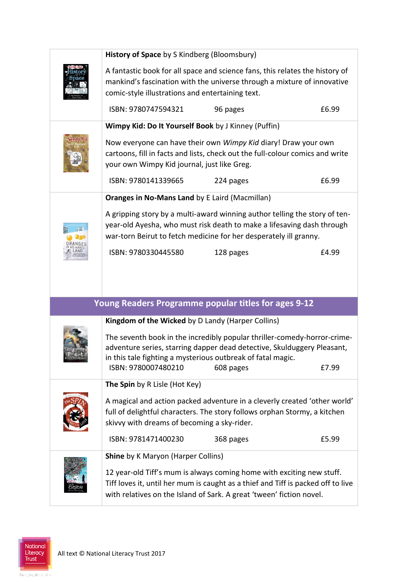| History of Space by S Kindberg (Bloomsbury)                 |                                                                                                                                                                                                                                   |       |  |
|-------------------------------------------------------------|-----------------------------------------------------------------------------------------------------------------------------------------------------------------------------------------------------------------------------------|-------|--|
|                                                             | A fantastic book for all space and science fans, this relates the history of<br>mankind's fascination with the universe through a mixture of innovative                                                                           |       |  |
| comic-style illustrations and entertaining text.            |                                                                                                                                                                                                                                   |       |  |
| ISBN: 9780747594321                                         | 96 pages                                                                                                                                                                                                                          | £6.99 |  |
| Wimpy Kid: Do It Yourself Book by J Kinney (Puffin)         |                                                                                                                                                                                                                                   |       |  |
| your own Wimpy Kid journal, just like Greg.                 | Now everyone can have their own Wimpy Kid diary! Draw your own<br>cartoons, fill in facts and lists, check out the full-colour comics and write                                                                                   |       |  |
| ISBN: 9780141339665                                         | 224 pages                                                                                                                                                                                                                         | £6.99 |  |
| Oranges in No-Mans Land by E Laird (Macmillan)              |                                                                                                                                                                                                                                   |       |  |
|                                                             | A gripping story by a multi-award winning author telling the story of ten-<br>year-old Ayesha, who must risk death to make a lifesaving dash through<br>war-torn Beirut to fetch medicine for her desperately ill granny.         |       |  |
| ISBN: 9780330445580                                         | 128 pages                                                                                                                                                                                                                         | £4.99 |  |
|                                                             |                                                                                                                                                                                                                                   |       |  |
|                                                             | Young Readers Programme popular titles for ages 9-12                                                                                                                                                                              |       |  |
| Kingdom of the Wicked by D Landy (Harper Collins)           |                                                                                                                                                                                                                                   |       |  |
| in this tale fighting a mysterious outbreak of fatal magic. | The seventh book in the incredibly popular thriller-comedy-horror-crime-<br>adventure series, starring dapper dead detective, Skulduggery Pleasant,                                                                               |       |  |
| ISBN: 9780007480210                                         | 608 pages                                                                                                                                                                                                                         | £7.99 |  |
| The Spin by R Lisle (Hot Key)                               |                                                                                                                                                                                                                                   |       |  |
| skivvy with dreams of becoming a sky-rider.                 | A magical and action packed adventure in a cleverly created 'other world'<br>full of delightful characters. The story follows orphan Stormy, a kitchen                                                                            |       |  |
| ISBN: 9781471400230                                         | 368 pages                                                                                                                                                                                                                         | £5.99 |  |
| <b>Shine</b> by K Maryon (Harper Collins)                   |                                                                                                                                                                                                                                   |       |  |
|                                                             | 12 year-old Tiff's mum is always coming home with exciting new stuff.<br>Tiff loves it, until her mum is caught as a thief and Tiff is packed off to live<br>with relatives on the Island of Sark. A great 'tween' fiction novel. |       |  |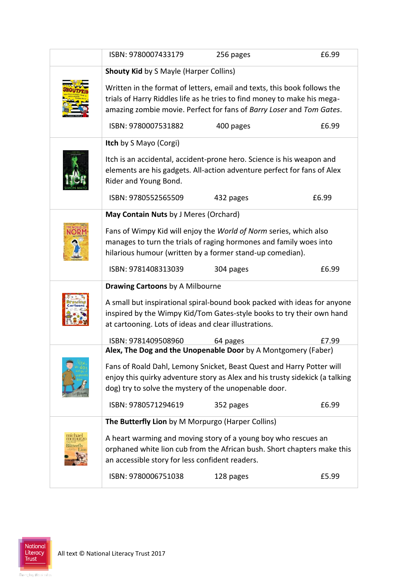| <b>Shouty Kid by S Mayle (Harper Collins)</b><br>Written in the format of letters, email and texts, this book follows the<br>trials of Harry Riddles life as he tries to find money to make his mega-<br>amazing zombie movie. Perfect for fans of Barry Loser and Tom Gates.<br>ISBN: 9780007531882<br>£6.99<br>400 pages<br>Itch by S Mayo (Corgi)<br>Itch is an accidental, accident-prone hero. Science is his weapon and<br>elements are his gadgets. All-action adventure perfect for fans of Alex<br>Rider and Young Bond.<br>ISBN: 9780552565509<br>£6.99<br>432 pages<br>May Contain Nuts by J Meres (Orchard)<br>Fans of Wimpy Kid will enjoy the World of Norm series, which also<br>manages to turn the trials of raging hormones and family woes into<br>hilarious humour (written by a former stand-up comedian).<br>ISBN: 9781408313039<br>£6.99<br>304 pages<br><b>Drawing Cartoons by A Milbourne</b><br>A small but inspirational spiral-bound book packed with ideas for anyone<br>inspired by the Wimpy Kid/Tom Gates-style books to try their own hand<br>at cartooning. Lots of ideas and clear illustrations.<br>ISBN: 9781409508960<br>64 pages<br>£7.99<br>Alex, The Dog and the Unopenable Door by A Montgomery (Faber)<br>Fans of Roald Dahl, Lemony Snicket, Beast Quest and Harry Potter will<br>enjoy this quirky adventure story as Alex and his trusty sidekick (a talking<br>dog) try to solve the mystery of the unopenable door.<br>ISBN: 9780571294619<br>352 pages<br>£6.99<br>The Butterfly Lion by M Morpurgo (Harper Collins)<br>A heart warming and moving story of a young boy who rescues an<br>nomur2<br>orphaned white lion cub from the African bush. Short chapters make this<br>an accessible story for less confident readers.<br>ISBN: 9780006751038<br>£5.99<br>128 pages | ISBN: 9780007433179 | 256 pages | £6.99 |
|------------------------------------------------------------------------------------------------------------------------------------------------------------------------------------------------------------------------------------------------------------------------------------------------------------------------------------------------------------------------------------------------------------------------------------------------------------------------------------------------------------------------------------------------------------------------------------------------------------------------------------------------------------------------------------------------------------------------------------------------------------------------------------------------------------------------------------------------------------------------------------------------------------------------------------------------------------------------------------------------------------------------------------------------------------------------------------------------------------------------------------------------------------------------------------------------------------------------------------------------------------------------------------------------------------------------------------------------------------------------------------------------------------------------------------------------------------------------------------------------------------------------------------------------------------------------------------------------------------------------------------------------------------------------------------------------------------------------------------------------------------------------------------------------------------------------------|---------------------|-----------|-------|
|                                                                                                                                                                                                                                                                                                                                                                                                                                                                                                                                                                                                                                                                                                                                                                                                                                                                                                                                                                                                                                                                                                                                                                                                                                                                                                                                                                                                                                                                                                                                                                                                                                                                                                                                                                                                                              |                     |           |       |
|                                                                                                                                                                                                                                                                                                                                                                                                                                                                                                                                                                                                                                                                                                                                                                                                                                                                                                                                                                                                                                                                                                                                                                                                                                                                                                                                                                                                                                                                                                                                                                                                                                                                                                                                                                                                                              |                     |           |       |
|                                                                                                                                                                                                                                                                                                                                                                                                                                                                                                                                                                                                                                                                                                                                                                                                                                                                                                                                                                                                                                                                                                                                                                                                                                                                                                                                                                                                                                                                                                                                                                                                                                                                                                                                                                                                                              |                     |           |       |
|                                                                                                                                                                                                                                                                                                                                                                                                                                                                                                                                                                                                                                                                                                                                                                                                                                                                                                                                                                                                                                                                                                                                                                                                                                                                                                                                                                                                                                                                                                                                                                                                                                                                                                                                                                                                                              |                     |           |       |
|                                                                                                                                                                                                                                                                                                                                                                                                                                                                                                                                                                                                                                                                                                                                                                                                                                                                                                                                                                                                                                                                                                                                                                                                                                                                                                                                                                                                                                                                                                                                                                                                                                                                                                                                                                                                                              |                     |           |       |
|                                                                                                                                                                                                                                                                                                                                                                                                                                                                                                                                                                                                                                                                                                                                                                                                                                                                                                                                                                                                                                                                                                                                                                                                                                                                                                                                                                                                                                                                                                                                                                                                                                                                                                                                                                                                                              |                     |           |       |
|                                                                                                                                                                                                                                                                                                                                                                                                                                                                                                                                                                                                                                                                                                                                                                                                                                                                                                                                                                                                                                                                                                                                                                                                                                                                                                                                                                                                                                                                                                                                                                                                                                                                                                                                                                                                                              |                     |           |       |
|                                                                                                                                                                                                                                                                                                                                                                                                                                                                                                                                                                                                                                                                                                                                                                                                                                                                                                                                                                                                                                                                                                                                                                                                                                                                                                                                                                                                                                                                                                                                                                                                                                                                                                                                                                                                                              |                     |           |       |
|                                                                                                                                                                                                                                                                                                                                                                                                                                                                                                                                                                                                                                                                                                                                                                                                                                                                                                                                                                                                                                                                                                                                                                                                                                                                                                                                                                                                                                                                                                                                                                                                                                                                                                                                                                                                                              |                     |           |       |
|                                                                                                                                                                                                                                                                                                                                                                                                                                                                                                                                                                                                                                                                                                                                                                                                                                                                                                                                                                                                                                                                                                                                                                                                                                                                                                                                                                                                                                                                                                                                                                                                                                                                                                                                                                                                                              |                     |           |       |
|                                                                                                                                                                                                                                                                                                                                                                                                                                                                                                                                                                                                                                                                                                                                                                                                                                                                                                                                                                                                                                                                                                                                                                                                                                                                                                                                                                                                                                                                                                                                                                                                                                                                                                                                                                                                                              |                     |           |       |
|                                                                                                                                                                                                                                                                                                                                                                                                                                                                                                                                                                                                                                                                                                                                                                                                                                                                                                                                                                                                                                                                                                                                                                                                                                                                                                                                                                                                                                                                                                                                                                                                                                                                                                                                                                                                                              |                     |           |       |
|                                                                                                                                                                                                                                                                                                                                                                                                                                                                                                                                                                                                                                                                                                                                                                                                                                                                                                                                                                                                                                                                                                                                                                                                                                                                                                                                                                                                                                                                                                                                                                                                                                                                                                                                                                                                                              |                     |           |       |
|                                                                                                                                                                                                                                                                                                                                                                                                                                                                                                                                                                                                                                                                                                                                                                                                                                                                                                                                                                                                                                                                                                                                                                                                                                                                                                                                                                                                                                                                                                                                                                                                                                                                                                                                                                                                                              |                     |           |       |
|                                                                                                                                                                                                                                                                                                                                                                                                                                                                                                                                                                                                                                                                                                                                                                                                                                                                                                                                                                                                                                                                                                                                                                                                                                                                                                                                                                                                                                                                                                                                                                                                                                                                                                                                                                                                                              |                     |           |       |
|                                                                                                                                                                                                                                                                                                                                                                                                                                                                                                                                                                                                                                                                                                                                                                                                                                                                                                                                                                                                                                                                                                                                                                                                                                                                                                                                                                                                                                                                                                                                                                                                                                                                                                                                                                                                                              |                     |           |       |
|                                                                                                                                                                                                                                                                                                                                                                                                                                                                                                                                                                                                                                                                                                                                                                                                                                                                                                                                                                                                                                                                                                                                                                                                                                                                                                                                                                                                                                                                                                                                                                                                                                                                                                                                                                                                                              |                     |           |       |
|                                                                                                                                                                                                                                                                                                                                                                                                                                                                                                                                                                                                                                                                                                                                                                                                                                                                                                                                                                                                                                                                                                                                                                                                                                                                                                                                                                                                                                                                                                                                                                                                                                                                                                                                                                                                                              |                     |           |       |
|                                                                                                                                                                                                                                                                                                                                                                                                                                                                                                                                                                                                                                                                                                                                                                                                                                                                                                                                                                                                                                                                                                                                                                                                                                                                                                                                                                                                                                                                                                                                                                                                                                                                                                                                                                                                                              |                     |           |       |
|                                                                                                                                                                                                                                                                                                                                                                                                                                                                                                                                                                                                                                                                                                                                                                                                                                                                                                                                                                                                                                                                                                                                                                                                                                                                                                                                                                                                                                                                                                                                                                                                                                                                                                                                                                                                                              |                     |           |       |
|                                                                                                                                                                                                                                                                                                                                                                                                                                                                                                                                                                                                                                                                                                                                                                                                                                                                                                                                                                                                                                                                                                                                                                                                                                                                                                                                                                                                                                                                                                                                                                                                                                                                                                                                                                                                                              |                     |           |       |
|                                                                                                                                                                                                                                                                                                                                                                                                                                                                                                                                                                                                                                                                                                                                                                                                                                                                                                                                                                                                                                                                                                                                                                                                                                                                                                                                                                                                                                                                                                                                                                                                                                                                                                                                                                                                                              |                     |           |       |
|                                                                                                                                                                                                                                                                                                                                                                                                                                                                                                                                                                                                                                                                                                                                                                                                                                                                                                                                                                                                                                                                                                                                                                                                                                                                                                                                                                                                                                                                                                                                                                                                                                                                                                                                                                                                                              |                     |           |       |
|                                                                                                                                                                                                                                                                                                                                                                                                                                                                                                                                                                                                                                                                                                                                                                                                                                                                                                                                                                                                                                                                                                                                                                                                                                                                                                                                                                                                                                                                                                                                                                                                                                                                                                                                                                                                                              |                     |           |       |
|                                                                                                                                                                                                                                                                                                                                                                                                                                                                                                                                                                                                                                                                                                                                                                                                                                                                                                                                                                                                                                                                                                                                                                                                                                                                                                                                                                                                                                                                                                                                                                                                                                                                                                                                                                                                                              |                     |           |       |
|                                                                                                                                                                                                                                                                                                                                                                                                                                                                                                                                                                                                                                                                                                                                                                                                                                                                                                                                                                                                                                                                                                                                                                                                                                                                                                                                                                                                                                                                                                                                                                                                                                                                                                                                                                                                                              |                     |           |       |
|                                                                                                                                                                                                                                                                                                                                                                                                                                                                                                                                                                                                                                                                                                                                                                                                                                                                                                                                                                                                                                                                                                                                                                                                                                                                                                                                                                                                                                                                                                                                                                                                                                                                                                                                                                                                                              |                     |           |       |
|                                                                                                                                                                                                                                                                                                                                                                                                                                                                                                                                                                                                                                                                                                                                                                                                                                                                                                                                                                                                                                                                                                                                                                                                                                                                                                                                                                                                                                                                                                                                                                                                                                                                                                                                                                                                                              |                     |           |       |
|                                                                                                                                                                                                                                                                                                                                                                                                                                                                                                                                                                                                                                                                                                                                                                                                                                                                                                                                                                                                                                                                                                                                                                                                                                                                                                                                                                                                                                                                                                                                                                                                                                                                                                                                                                                                                              |                     |           |       |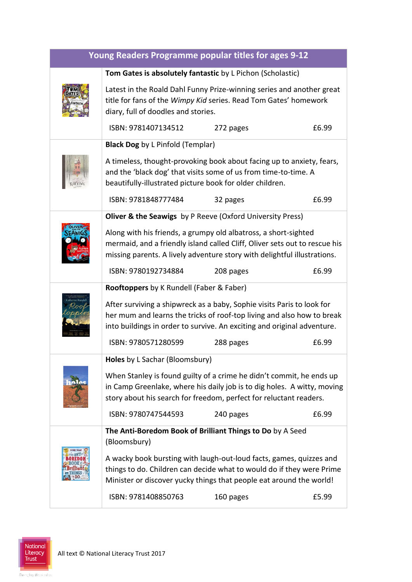| Young Readers Programme popular titles for ages 9-12 |                                                                                                                                                                                                                             |           |       |  |
|------------------------------------------------------|-----------------------------------------------------------------------------------------------------------------------------------------------------------------------------------------------------------------------------|-----------|-------|--|
|                                                      | Tom Gates is absolutely fantastic by L Pichon (Scholastic)                                                                                                                                                                  |           |       |  |
|                                                      | Latest in the Roald Dahl Funny Prize-winning series and another great<br>title for fans of the Wimpy Kid series. Read Tom Gates' homework<br>diary, full of doodles and stories.                                            |           |       |  |
|                                                      | ISBN: 9781407134512                                                                                                                                                                                                         | 272 pages | £6.99 |  |
|                                                      | <b>Black Dog</b> by L Pinfold (Templar)                                                                                                                                                                                     |           |       |  |
|                                                      | A timeless, thought-provoking book about facing up to anxiety, fears,<br>and the 'black dog' that visits some of us from time-to-time. A<br>beautifully-illustrated picture book for older children.                        |           |       |  |
|                                                      | ISBN: 9781848777484                                                                                                                                                                                                         | 32 pages  | £6.99 |  |
|                                                      | <b>Oliver &amp; the Seawigs</b> by P Reeve (Oxford University Press)                                                                                                                                                        |           |       |  |
|                                                      | Along with his friends, a grumpy old albatross, a short-sighted<br>mermaid, and a friendly island called Cliff, Oliver sets out to rescue his<br>missing parents. A lively adventure story with delightful illustrations.   |           |       |  |
|                                                      | ISBN: 9780192734884                                                                                                                                                                                                         | 208 pages | £6.99 |  |
|                                                      | <b>Rooftoppers</b> by K Rundell (Faber & Faber)                                                                                                                                                                             |           |       |  |
|                                                      | After surviving a shipwreck as a baby, Sophie visits Paris to look for<br>her mum and learns the tricks of roof-top living and also how to break<br>into buildings in order to survive. An exciting and original adventure. |           |       |  |
|                                                      | ISBN: 9780571280599                                                                                                                                                                                                         | 288 pages | £6.99 |  |
|                                                      | Holes by L Sachar (Bloomsbury)                                                                                                                                                                                              |           |       |  |
|                                                      | When Stanley is found guilty of a crime he didn't commit, he ends up<br>in Camp Greenlake, where his daily job is to dig holes. A witty, moving<br>story about his search for freedom, perfect for reluctant readers.       |           |       |  |
|                                                      | ISBN: 9780747544593                                                                                                                                                                                                         | 240 pages | £6.99 |  |
|                                                      | The Anti-Boredom Book of Brilliant Things to Do by A Seed<br>(Bloomsbury)                                                                                                                                                   |           |       |  |
|                                                      | A wacky book bursting with laugh-out-loud facts, games, quizzes and<br>things to do. Children can decide what to would do if they were Prime<br>Minister or discover yucky things that people eat around the world!         |           |       |  |
|                                                      | ISBN: 9781408850763                                                                                                                                                                                                         | 160 pages | £5.99 |  |

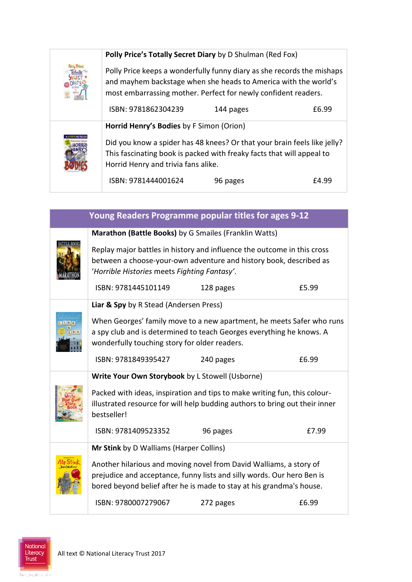|  | Polly Price's Totally Secret Diary by D Shulman (Red Fox)<br>Polly Price keeps a wonderfully funny diary as she records the mishaps<br>and mayhem backstage when she heads to America with the world's<br>most embarrassing mother. Perfect for newly confident readers. |           |       |
|--|--------------------------------------------------------------------------------------------------------------------------------------------------------------------------------------------------------------------------------------------------------------------------|-----------|-------|
|  |                                                                                                                                                                                                                                                                          |           |       |
|  | ISBN: 9781862304239                                                                                                                                                                                                                                                      | 144 pages | £6.99 |
|  | Horrid Henry's Bodies by F Simon (Orion)                                                                                                                                                                                                                                 |           |       |
|  | Did you know a spider has 48 knees? Or that your brain feels like jelly?<br>This fascinating book is packed with freaky facts that will appeal to<br>Horrid Henry and trivia fans alike.                                                                                 |           |       |
|  | ISBN: 9781444001624                                                                                                                                                                                                                                                      | 96 pages  | £4.99 |

| Young Readers Programme popular titles for ages 9-12 |                                                                                                                                                                                                                      |           |       |
|------------------------------------------------------|----------------------------------------------------------------------------------------------------------------------------------------------------------------------------------------------------------------------|-----------|-------|
|                                                      | Marathon (Battle Books) by G Smailes (Franklin Watts)                                                                                                                                                                |           |       |
|                                                      | Replay major battles in history and influence the outcome in this cross<br>between a choose-your-own adventure and history book, described as<br>'Horrible Histories meets Fighting Fantasy'.                        |           |       |
|                                                      | ISBN: 9781445101149                                                                                                                                                                                                  | 128 pages | £5.99 |
|                                                      | Liar & Spy by R Stead (Andersen Press)                                                                                                                                                                               |           |       |
|                                                      | When Georges' family move to a new apartment, he meets Safer who runs<br>a spy club and is determined to teach Georges everything he knows. A<br>wonderfully touching story for older readers.                       |           |       |
|                                                      | ISBN: 9781849395427                                                                                                                                                                                                  | 240 pages | £6.99 |
|                                                      | Write Your Own Storybook by L Stowell (Usborne)                                                                                                                                                                      |           |       |
|                                                      | Packed with ideas, inspiration and tips to make writing fun, this colour-<br>illustrated resource for will help budding authors to bring out their inner<br>bestseller!                                              |           |       |
|                                                      | ISBN: 9781409523352                                                                                                                                                                                                  | 96 pages  | £7.99 |
|                                                      | Mr Stink by D Walliams (Harper Collins)                                                                                                                                                                              |           |       |
|                                                      | Another hilarious and moving novel from David Walliams, a story of<br>prejudice and acceptance, funny lists and silly words. Our hero Ben is<br>bored beyond belief after he is made to stay at his grandma's house. |           |       |
|                                                      | ISBN: 9780007279067                                                                                                                                                                                                  | 272 pages | £6.99 |